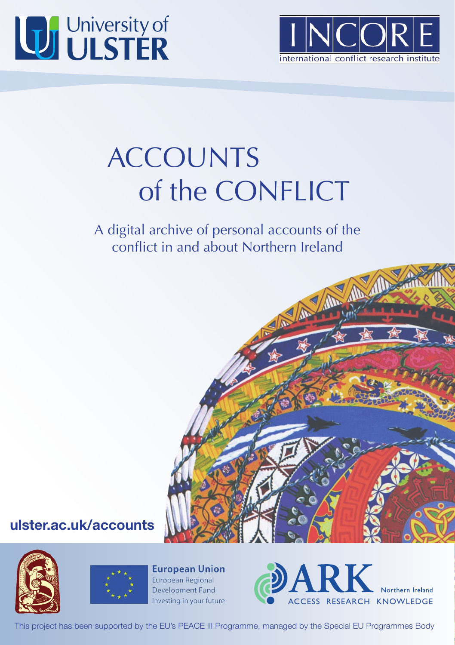



## ACCOUNTS of the CONFLICT

A digital archive of personal accounts of the conflict in and about Northern Ireland



## **ulster.ac.uk/accounts**





**European Union** European Regional Development Fund Investing in your future



This project has been supported by the EU's PEACE III Programme, managed by the Special EU Programmes Body